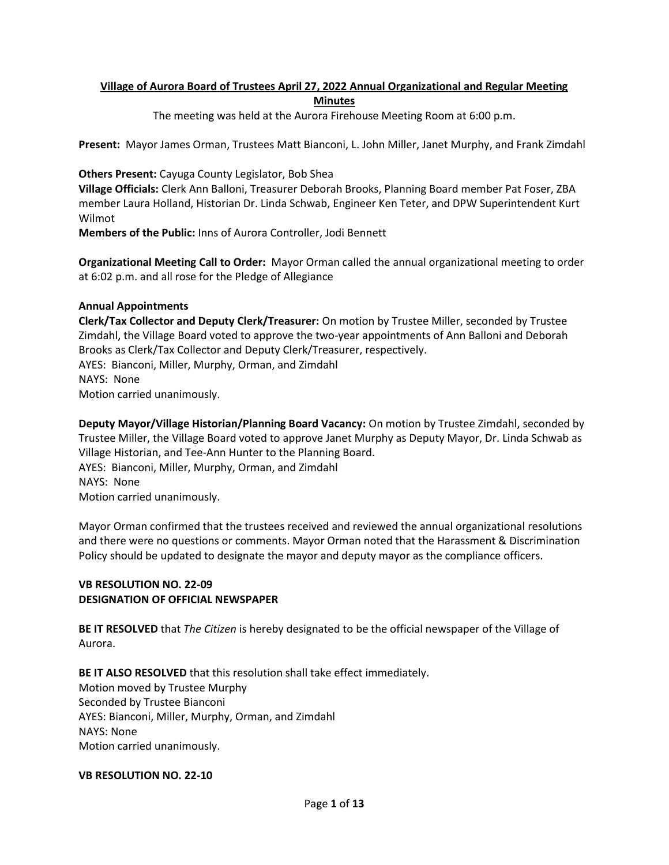# **Village of Aurora Board of Trustees April 27, 2022 Annual Organizational and Regular Meeting Minutes**

The meeting was held at the Aurora Firehouse Meeting Room at 6:00 p.m.

**Present:** Mayor James Orman, Trustees Matt Bianconi, L. John Miller, Janet Murphy, and Frank Zimdahl

**Others Present:** Cayuga County Legislator, Bob Shea

**Village Officials:** Clerk Ann Balloni, Treasurer Deborah Brooks, Planning Board member Pat Foser, ZBA member Laura Holland, Historian Dr. Linda Schwab, Engineer Ken Teter, and DPW Superintendent Kurt Wilmot

**Members of the Public:** Inns of Aurora Controller, Jodi Bennett

**Organizational Meeting Call to Order:** Mayor Orman called the annual organizational meeting to order at 6:02 p.m. and all rose for the Pledge of Allegiance

# **Annual Appointments**

**Clerk/Tax Collector and Deputy Clerk/Treasurer:** On motion by Trustee Miller, seconded by Trustee Zimdahl, the Village Board voted to approve the two-year appointments of Ann Balloni and Deborah Brooks as Clerk/Tax Collector and Deputy Clerk/Treasurer, respectively. AYES: Bianconi, Miller, Murphy, Orman, and Zimdahl NAYS: None Motion carried unanimously.

**Deputy Mayor/Village Historian/Planning Board Vacancy:** On motion by Trustee Zimdahl, seconded by Trustee Miller, the Village Board voted to approve Janet Murphy as Deputy Mayor, Dr. Linda Schwab as Village Historian, and Tee-Ann Hunter to the Planning Board. AYES: Bianconi, Miller, Murphy, Orman, and Zimdahl NAYS: None Motion carried unanimously.

Mayor Orman confirmed that the trustees received and reviewed the annual organizational resolutions and there were no questions or comments. Mayor Orman noted that the Harassment & Discrimination Policy should be updated to designate the mayor and deputy mayor as the compliance officers.

# **VB RESOLUTION NO. 22-09 DESIGNATION OF OFFICIAL NEWSPAPER**

**BE IT RESOLVED** that *The Citizen* is hereby designated to be the official newspaper of the Village of Aurora.

**BE IT ALSO RESOLVED** that this resolution shall take effect immediately. Motion moved by Trustee Murphy Seconded by Trustee Bianconi AYES: Bianconi, Miller, Murphy, Orman, and Zimdahl NAYS: None Motion carried unanimously.

### **VB RESOLUTION NO. 22-10**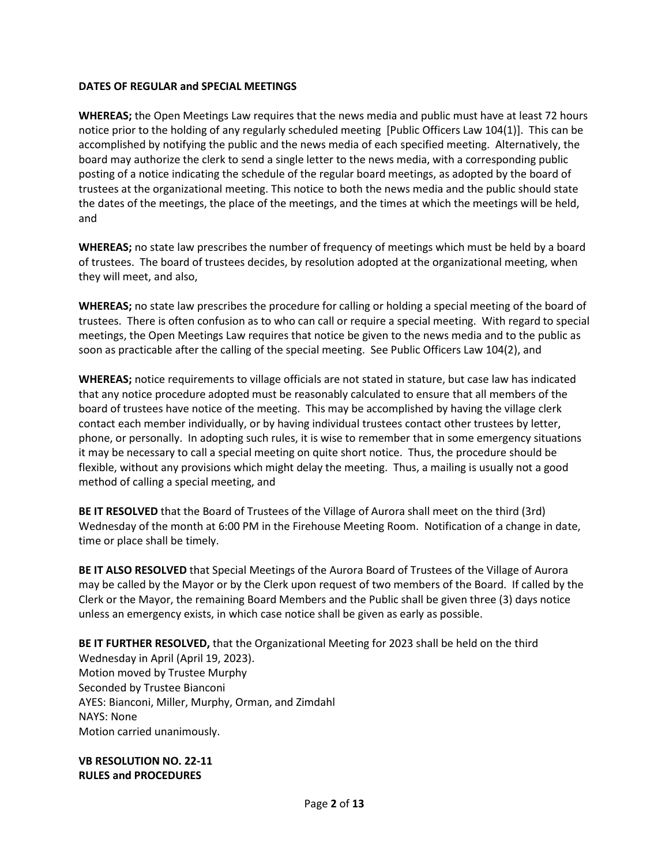## **DATES OF REGULAR and SPECIAL MEETINGS**

**WHEREAS;** the Open Meetings Law requires that the news media and public must have at least 72 hours notice prior to the holding of any regularly scheduled meeting [Public Officers Law 104(1)]. This can be accomplished by notifying the public and the news media of each specified meeting. Alternatively, the board may authorize the clerk to send a single letter to the news media, with a corresponding public posting of a notice indicating the schedule of the regular board meetings, as adopted by the board of trustees at the organizational meeting. This notice to both the news media and the public should state the dates of the meetings, the place of the meetings, and the times at which the meetings will be held, and

**WHEREAS;** no state law prescribes the number of frequency of meetings which must be held by a board of trustees. The board of trustees decides, by resolution adopted at the organizational meeting, when they will meet, and also,

**WHEREAS;** no state law prescribes the procedure for calling or holding a special meeting of the board of trustees. There is often confusion as to who can call or require a special meeting. With regard to special meetings, the Open Meetings Law requires that notice be given to the news media and to the public as soon as practicable after the calling of the special meeting. See Public Officers Law 104(2), and

**WHEREAS;** notice requirements to village officials are not stated in stature, but case law has indicated that any notice procedure adopted must be reasonably calculated to ensure that all members of the board of trustees have notice of the meeting. This may be accomplished by having the village clerk contact each member individually, or by having individual trustees contact other trustees by letter, phone, or personally. In adopting such rules, it is wise to remember that in some emergency situations it may be necessary to call a special meeting on quite short notice. Thus, the procedure should be flexible, without any provisions which might delay the meeting. Thus, a mailing is usually not a good method of calling a special meeting, and

**BE IT RESOLVED** that the Board of Trustees of the Village of Aurora shall meet on the third (3rd) Wednesday of the month at 6:00 PM in the Firehouse Meeting Room. Notification of a change in date, time or place shall be timely.

**BE IT ALSO RESOLVED** that Special Meetings of the Aurora Board of Trustees of the Village of Aurora may be called by the Mayor or by the Clerk upon request of two members of the Board. If called by the Clerk or the Mayor, the remaining Board Members and the Public shall be given three (3) days notice unless an emergency exists, in which case notice shall be given as early as possible.

**BE IT FURTHER RESOLVED,** that the Organizational Meeting for 2023 shall be held on the third Wednesday in April (April 19, 2023). Motion moved by Trustee Murphy Seconded by Trustee Bianconi AYES: Bianconi, Miller, Murphy, Orman, and Zimdahl NAYS: None Motion carried unanimously.

**VB RESOLUTION NO. 22-11 RULES and PROCEDURES**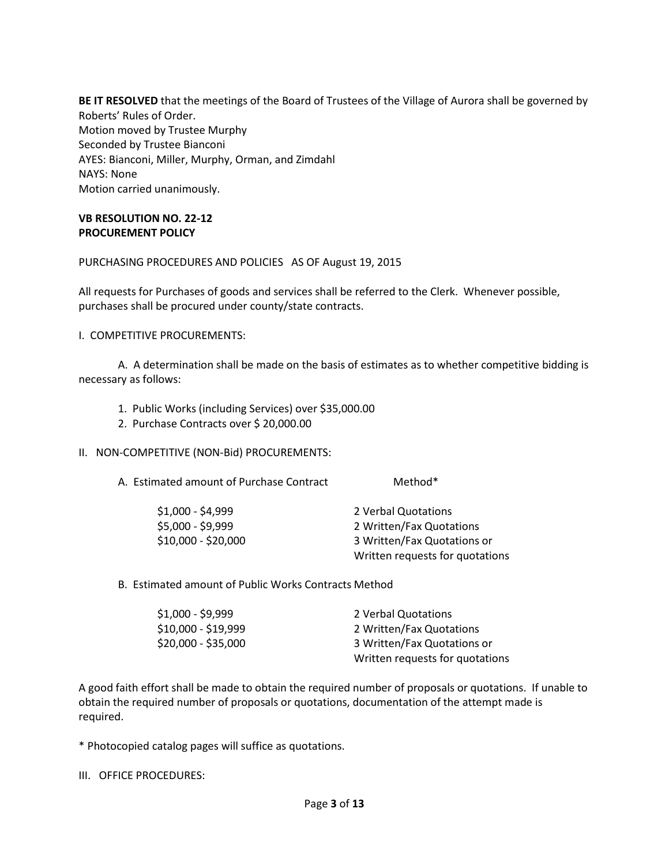**BE IT RESOLVED** that the meetings of the Board of Trustees of the Village of Aurora shall be governed by Roberts' Rules of Order. Motion moved by Trustee Murphy Seconded by Trustee Bianconi AYES: Bianconi, Miller, Murphy, Orman, and Zimdahl NAYS: None Motion carried unanimously.

## **VB RESOLUTION NO. 22-12 PROCUREMENT POLICY**

PURCHASING PROCEDURES AND POLICIES AS OF August 19, 2015

All requests for Purchases of goods and services shall be referred to the Clerk. Whenever possible, purchases shall be procured under county/state contracts.

I. COMPETITIVE PROCUREMENTS:

A. A determination shall be made on the basis of estimates as to whether competitive bidding is necessary as follows:

- 1. Public Works (including Services) over \$35,000.00
- 2. Purchase Contracts over \$ 20,000.00

### II. NON-COMPETITIVE (NON-Bid) PROCUREMENTS:

A. Estimated amount of Purchase Contract Method\*

| 2 Verbal Quotations             |
|---------------------------------|
| 2 Written/Fax Quotations        |
| 3 Written/Fax Quotations or     |
| Written requests for quotations |
|                                 |

B. Estimated amount of Public Works Contracts Method

| $$1,000 - $9,999$   | 2 Verbal Quotations             |
|---------------------|---------------------------------|
| $$10,000 - $19,999$ | 2 Written/Fax Quotations        |
| $$20,000 - $35,000$ | 3 Written/Fax Quotations or     |
|                     | Written requests for quotations |

A good faith effort shall be made to obtain the required number of proposals or quotations. If unable to obtain the required number of proposals or quotations, documentation of the attempt made is required.

\* Photocopied catalog pages will suffice as quotations.

III. OFFICE PROCEDURES: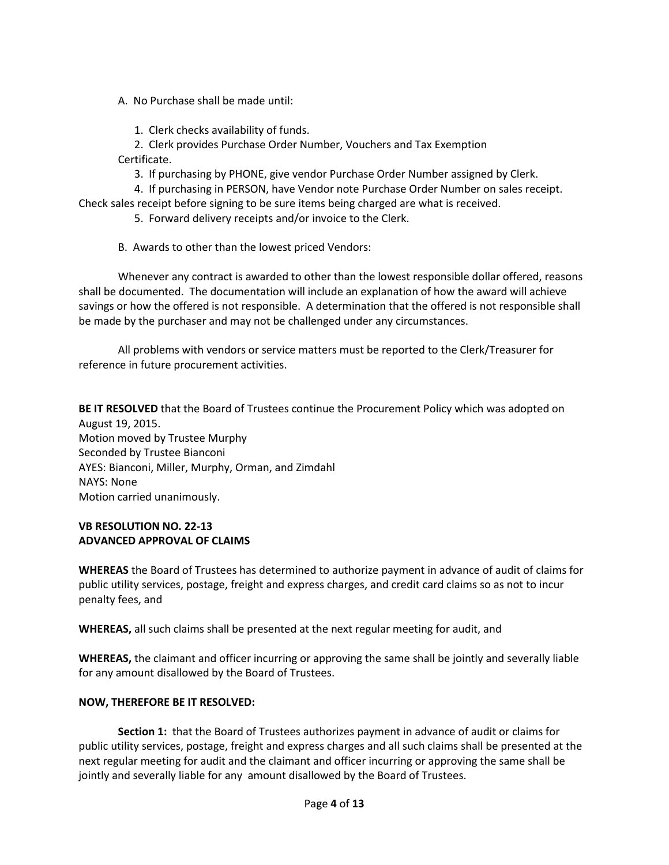A. No Purchase shall be made until:

1. Clerk checks availability of funds.

 2. Clerk provides Purchase Order Number, Vouchers and Tax Exemption Certificate.

3. If purchasing by PHONE, give vendor Purchase Order Number assigned by Clerk.

4. If purchasing in PERSON, have Vendor note Purchase Order Number on sales receipt.

Check sales receipt before signing to be sure items being charged are what is received.

- 5. Forward delivery receipts and/or invoice to the Clerk.
- B. Awards to other than the lowest priced Vendors:

Whenever any contract is awarded to other than the lowest responsible dollar offered, reasons shall be documented. The documentation will include an explanation of how the award will achieve savings or how the offered is not responsible. A determination that the offered is not responsible shall be made by the purchaser and may not be challenged under any circumstances.

All problems with vendors or service matters must be reported to the Clerk/Treasurer for reference in future procurement activities.

**BE IT RESOLVED** that the Board of Trustees continue the Procurement Policy which was adopted on August 19, 2015. Motion moved by Trustee Murphy Seconded by Trustee Bianconi AYES: Bianconi, Miller, Murphy, Orman, and Zimdahl NAYS: None Motion carried unanimously.

### **VB RESOLUTION NO. 22-13 ADVANCED APPROVAL OF CLAIMS**

**WHEREAS** the Board of Trustees has determined to authorize payment in advance of audit of claims for public utility services, postage, freight and express charges, and credit card claims so as not to incur penalty fees, and

**WHEREAS,** all such claims shall be presented at the next regular meeting for audit, and

**WHEREAS,** the claimant and officer incurring or approving the same shall be jointly and severally liable for any amount disallowed by the Board of Trustees.

# **NOW, THEREFORE BE IT RESOLVED:**

**Section 1:** that the Board of Trustees authorizes payment in advance of audit or claims for public utility services, postage, freight and express charges and all such claims shall be presented at the next regular meeting for audit and the claimant and officer incurring or approving the same shall be jointly and severally liable for any amount disallowed by the Board of Trustees.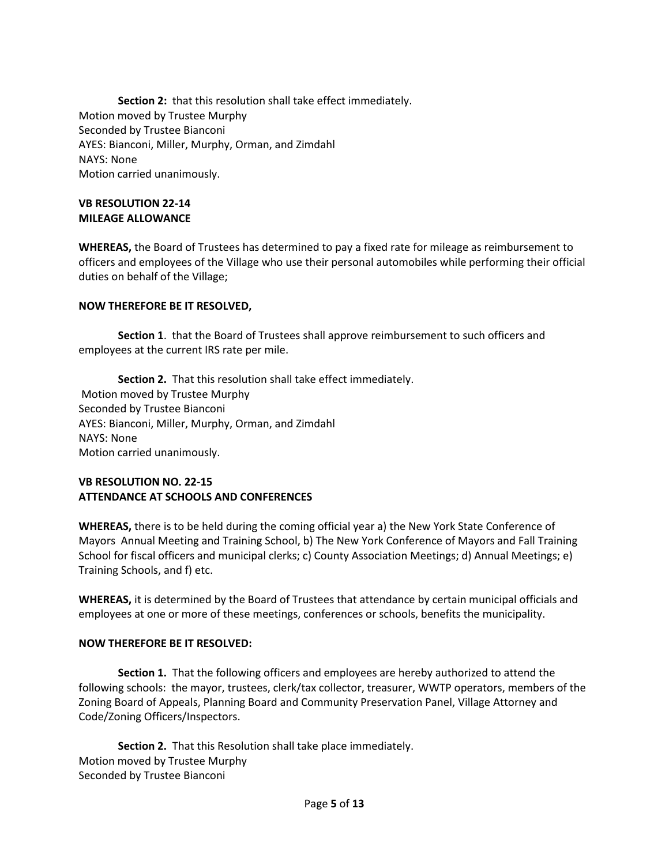**Section 2:** that this resolution shall take effect immediately. Motion moved by Trustee Murphy Seconded by Trustee Bianconi AYES: Bianconi, Miller, Murphy, Orman, and Zimdahl NAYS: None Motion carried unanimously.

### **VB RESOLUTION 22-14 MILEAGE ALLOWANCE**

**WHEREAS,** the Board of Trustees has determined to pay a fixed rate for mileage as reimbursement to officers and employees of the Village who use their personal automobiles while performing their official duties on behalf of the Village;

# **NOW THEREFORE BE IT RESOLVED,**

**Section 1**. that the Board of Trustees shall approve reimbursement to such officers and employees at the current IRS rate per mile.

**Section 2.** That this resolution shall take effect immediately. Motion moved by Trustee Murphy Seconded by Trustee Bianconi AYES: Bianconi, Miller, Murphy, Orman, and Zimdahl NAYS: None Motion carried unanimously.

# **VB RESOLUTION NO. 22-15 ATTENDANCE AT SCHOOLS AND CONFERENCES**

**WHEREAS,** there is to be held during the coming official year a) the New York State Conference of Mayors Annual Meeting and Training School, b) The New York Conference of Mayors and Fall Training School for fiscal officers and municipal clerks; c) County Association Meetings; d) Annual Meetings; e) Training Schools, and f) etc.

**WHEREAS,** it is determined by the Board of Trustees that attendance by certain municipal officials and employees at one or more of these meetings, conferences or schools, benefits the municipality.

### **NOW THEREFORE BE IT RESOLVED:**

**Section 1.** That the following officers and employees are hereby authorized to attend the following schools: the mayor, trustees, clerk/tax collector, treasurer, WWTP operators, members of the Zoning Board of Appeals, Planning Board and Community Preservation Panel, Village Attorney and Code/Zoning Officers/Inspectors.

**Section 2.** That this Resolution shall take place immediately. Motion moved by Trustee Murphy Seconded by Trustee Bianconi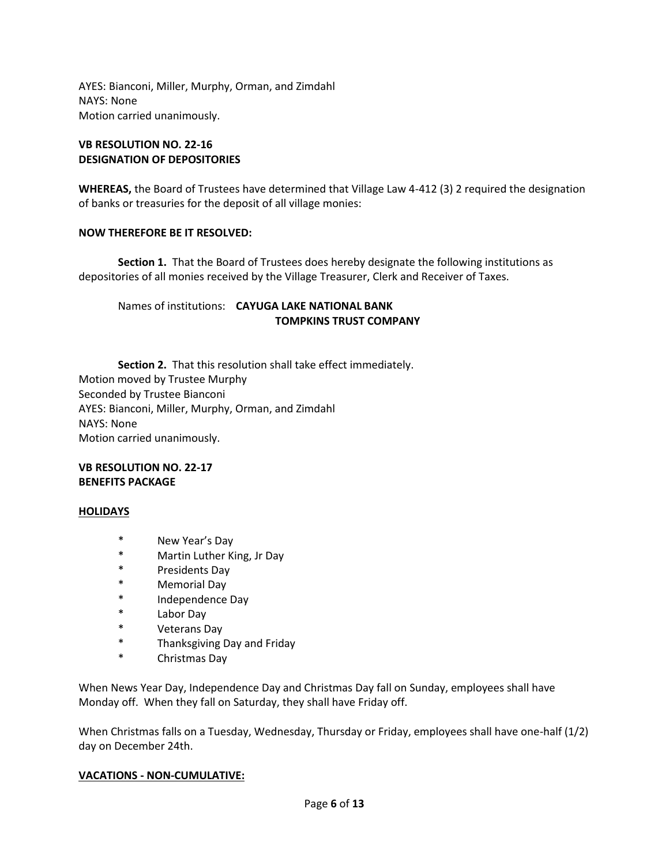AYES: Bianconi, Miller, Murphy, Orman, and Zimdahl NAYS: None Motion carried unanimously.

### **VB RESOLUTION NO. 22-16 DESIGNATION OF DEPOSITORIES**

**WHEREAS,** the Board of Trustees have determined that Village Law 4-412 (3) 2 required the designation of banks or treasuries for the deposit of all village monies:

### **NOW THEREFORE BE IT RESOLVED:**

**Section 1.** That the Board of Trustees does hereby designate the following institutions as depositories of all monies received by the Village Treasurer, Clerk and Receiver of Taxes.

# Names of institutions: **CAYUGA LAKE NATIONAL BANK TOMPKINS TRUST COMPANY**

**Section 2.** That this resolution shall take effect immediately. Motion moved by Trustee Murphy Seconded by Trustee Bianconi AYES: Bianconi, Miller, Murphy, Orman, and Zimdahl NAYS: None Motion carried unanimously.

# **VB RESOLUTION NO. 22-17 BENEFITS PACKAGE**

# **HOLIDAYS**

- \* New Year's Day
- \* Martin Luther King, Jr Day
- \* Presidents Day
- \* Memorial Day
- \* Independence Day
- Labor Day
- \* Veterans Day
- \* Thanksgiving Day and Friday
- Christmas Day

When News Year Day, Independence Day and Christmas Day fall on Sunday, employees shall have Monday off. When they fall on Saturday, they shall have Friday off.

When Christmas falls on a Tuesday, Wednesday, Thursday or Friday, employees shall have one-half (1/2) day on December 24th.

### **VACATIONS - NON-CUMULATIVE:**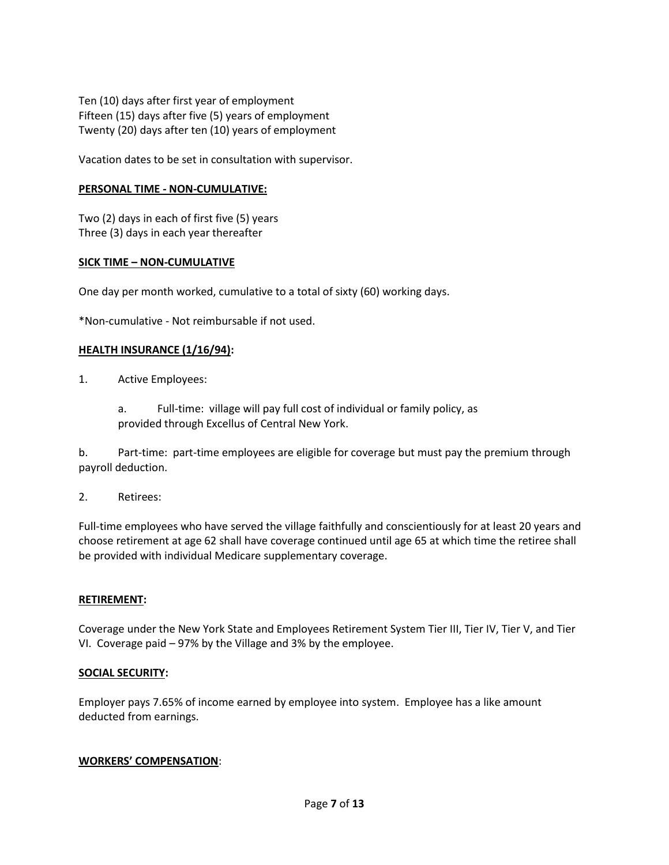Ten (10) days after first year of employment Fifteen (15) days after five (5) years of employment Twenty (20) days after ten (10) years of employment

Vacation dates to be set in consultation with supervisor.

## **PERSONAL TIME - NON-CUMULATIVE:**

Two (2) days in each of first five (5) years Three (3) days in each year thereafter

### **SICK TIME – NON-CUMULATIVE**

One day per month worked, cumulative to a total of sixty (60) working days.

\*Non-cumulative - Not reimbursable if not used.

#### **HEALTH INSURANCE (1/16/94):**

- 1. Active Employees:
	- a. Full-time: village will pay full cost of individual or family policy, as provided through Excellus of Central New York.

b. Part-time: part-time employees are eligible for coverage but must pay the premium through payroll deduction.

2. Retirees:

Full-time employees who have served the village faithfully and conscientiously for at least 20 years and choose retirement at age 62 shall have coverage continued until age 65 at which time the retiree shall be provided with individual Medicare supplementary coverage.

### **RETIREMENT:**

Coverage under the New York State and Employees Retirement System Tier III, Tier IV, Tier V, and Tier VI. Coverage paid – 97% by the Village and 3% by the employee.

### **SOCIAL SECURITY:**

Employer pays 7.65% of income earned by employee into system. Employee has a like amount deducted from earnings.

#### **WORKERS' COMPENSATION**: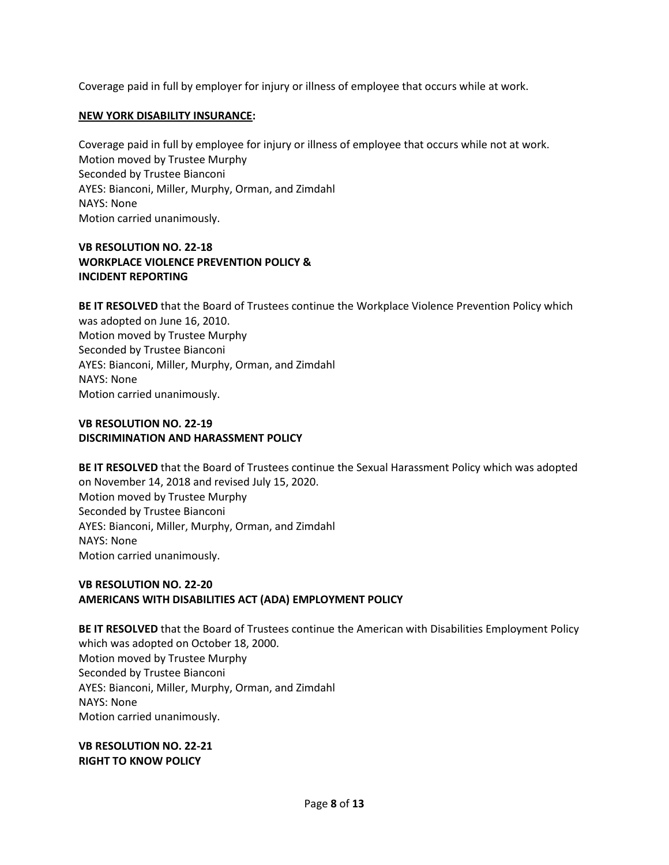Coverage paid in full by employer for injury or illness of employee that occurs while at work.

## **NEW YORK DISABILITY INSURANCE:**

Coverage paid in full by employee for injury or illness of employee that occurs while not at work. Motion moved by Trustee Murphy Seconded by Trustee Bianconi AYES: Bianconi, Miller, Murphy, Orman, and Zimdahl NAYS: None Motion carried unanimously.

# **VB RESOLUTION NO. 22-18 WORKPLACE VIOLENCE PREVENTION POLICY & INCIDENT REPORTING**

**BE IT RESOLVED** that the Board of Trustees continue the Workplace Violence Prevention Policy which was adopted on June 16, 2010. Motion moved by Trustee Murphy Seconded by Trustee Bianconi AYES: Bianconi, Miller, Murphy, Orman, and Zimdahl NAYS: None Motion carried unanimously.

# **VB RESOLUTION NO. 22-19 DISCRIMINATION AND HARASSMENT POLICY**

**BE IT RESOLVED** that the Board of Trustees continue the Sexual Harassment Policy which was adopted on November 14, 2018 and revised July 15, 2020. Motion moved by Trustee Murphy Seconded by Trustee Bianconi AYES: Bianconi, Miller, Murphy, Orman, and Zimdahl NAYS: None Motion carried unanimously.

# **VB RESOLUTION NO. 22-20 AMERICANS WITH DISABILITIES ACT (ADA) EMPLOYMENT POLICY**

**BE IT RESOLVED** that the Board of Trustees continue the American with Disabilities Employment Policy which was adopted on October 18, 2000. Motion moved by Trustee Murphy Seconded by Trustee Bianconi AYES: Bianconi, Miller, Murphy, Orman, and Zimdahl NAYS: None Motion carried unanimously.

**VB RESOLUTION NO. 22-21 RIGHT TO KNOW POLICY**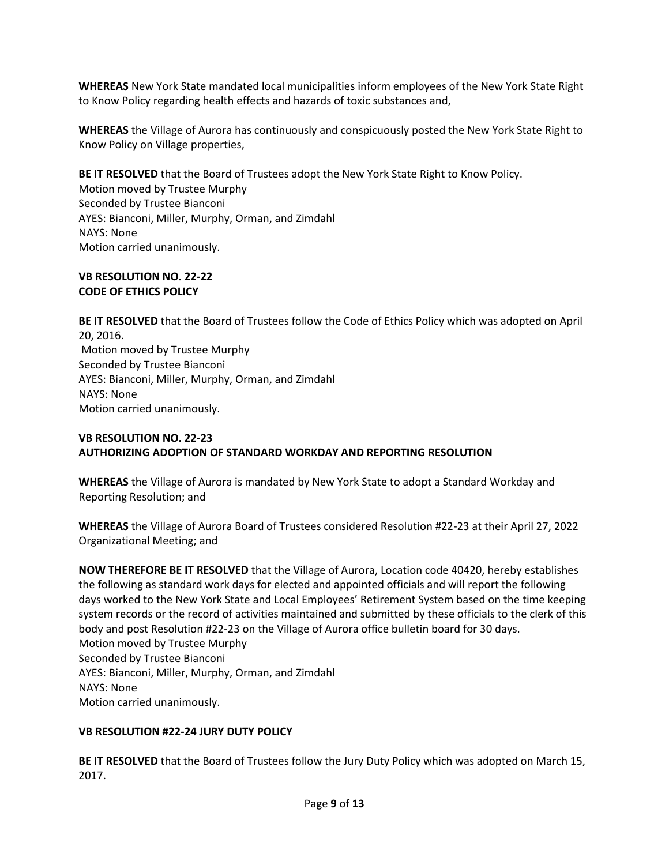**WHEREAS** New York State mandated local municipalities inform employees of the New York State Right to Know Policy regarding health effects and hazards of toxic substances and,

**WHEREAS** the Village of Aurora has continuously and conspicuously posted the New York State Right to Know Policy on Village properties,

**BE IT RESOLVED** that the Board of Trustees adopt the New York State Right to Know Policy. Motion moved by Trustee Murphy Seconded by Trustee Bianconi AYES: Bianconi, Miller, Murphy, Orman, and Zimdahl NAYS: None Motion carried unanimously.

# **VB RESOLUTION NO. 22-22 CODE OF ETHICS POLICY**

**BE IT RESOLVED** that the Board of Trustees follow the Code of Ethics Policy which was adopted on April 20, 2016. Motion moved by Trustee Murphy Seconded by Trustee Bianconi AYES: Bianconi, Miller, Murphy, Orman, and Zimdahl NAYS: None Motion carried unanimously.

# **VB RESOLUTION NO. 22-23 AUTHORIZING ADOPTION OF STANDARD WORKDAY AND REPORTING RESOLUTION**

**WHEREAS** the Village of Aurora is mandated by New York State to adopt a Standard Workday and Reporting Resolution; and

**WHEREAS** the Village of Aurora Board of Trustees considered Resolution #22-23 at their April 27, 2022 Organizational Meeting; and

**NOW THEREFORE BE IT RESOLVED** that the Village of Aurora, Location code 40420, hereby establishes the following as standard work days for elected and appointed officials and will report the following days worked to the New York State and Local Employees' Retirement System based on the time keeping system records or the record of activities maintained and submitted by these officials to the clerk of this body and post Resolution #22-23 on the Village of Aurora office bulletin board for 30 days. Motion moved by Trustee Murphy Seconded by Trustee Bianconi AYES: Bianconi, Miller, Murphy, Orman, and Zimdahl NAYS: None Motion carried unanimously.

# **VB RESOLUTION #22-24 JURY DUTY POLICY**

**BE IT RESOLVED** that the Board of Trustees follow the Jury Duty Policy which was adopted on March 15, 2017.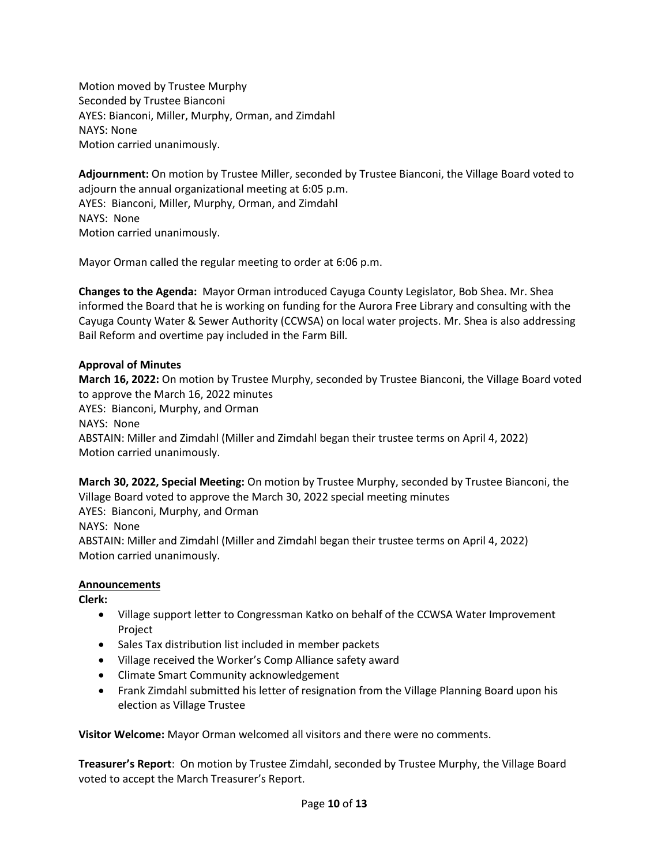Motion moved by Trustee Murphy Seconded by Trustee Bianconi AYES: Bianconi, Miller, Murphy, Orman, and Zimdahl NAYS: None Motion carried unanimously.

**Adjournment:** On motion by Trustee Miller, seconded by Trustee Bianconi, the Village Board voted to adjourn the annual organizational meeting at 6:05 p.m. AYES: Bianconi, Miller, Murphy, Orman, and Zimdahl NAYS: None Motion carried unanimously.

Mayor Orman called the regular meeting to order at 6:06 p.m.

**Changes to the Agenda:** Mayor Orman introduced Cayuga County Legislator, Bob Shea. Mr. Shea informed the Board that he is working on funding for the Aurora Free Library and consulting with the Cayuga County Water & Sewer Authority (CCWSA) on local water projects. Mr. Shea is also addressing Bail Reform and overtime pay included in the Farm Bill.

# **Approval of Minutes**

**March 16, 2022:** On motion by Trustee Murphy, seconded by Trustee Bianconi, the Village Board voted to approve the March 16, 2022 minutes AYES: Bianconi, Murphy, and Orman NAYS: None ABSTAIN: Miller and Zimdahl (Miller and Zimdahl began their trustee terms on April 4, 2022) Motion carried unanimously.

**March 30, 2022, Special Meeting:** On motion by Trustee Murphy, seconded by Trustee Bianconi, the Village Board voted to approve the March 30, 2022 special meeting minutes AYES: Bianconi, Murphy, and Orman NAYS: None ABSTAIN: Miller and Zimdahl (Miller and Zimdahl began their trustee terms on April 4, 2022) Motion carried unanimously.

### **Announcements**

**Clerk:** 

- Village support letter to Congressman Katko on behalf of the CCWSA Water Improvement Project
- Sales Tax distribution list included in member packets
- Village received the Worker's Comp Alliance safety award
- Climate Smart Community acknowledgement
- Frank Zimdahl submitted his letter of resignation from the Village Planning Board upon his election as Village Trustee

**Visitor Welcome:** Mayor Orman welcomed all visitors and there were no comments.

**Treasurer's Report**: On motion by Trustee Zimdahl, seconded by Trustee Murphy, the Village Board voted to accept the March Treasurer's Report.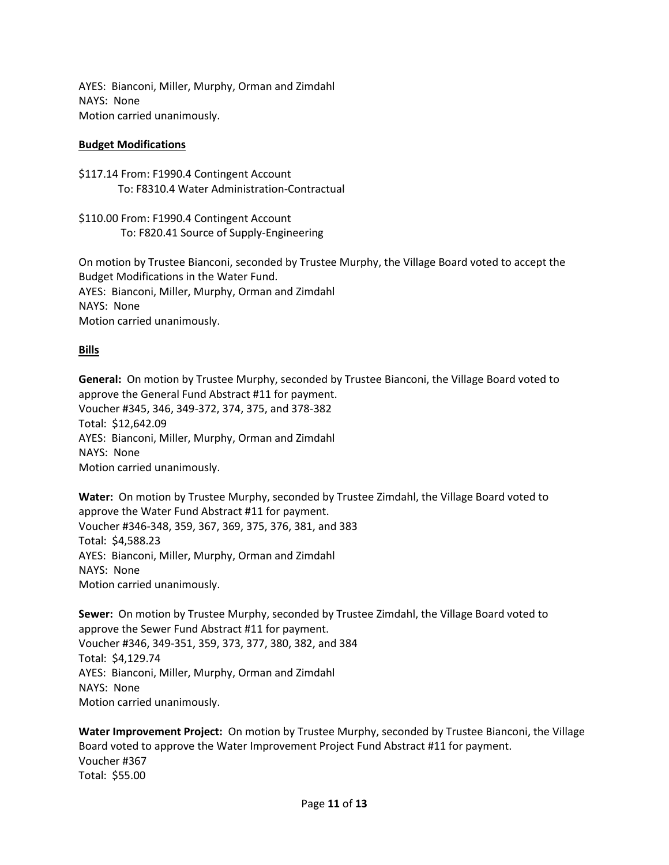AYES: Bianconi, Miller, Murphy, Orman and Zimdahl NAYS: None Motion carried unanimously.

# **Budget Modifications**

\$117.14 From: F1990.4 Contingent Account To: F8310.4 Water Administration-Contractual

\$110.00 From: F1990.4 Contingent Account To: F820.41 Source of Supply-Engineering

On motion by Trustee Bianconi, seconded by Trustee Murphy, the Village Board voted to accept the Budget Modifications in the Water Fund. AYES: Bianconi, Miller, Murphy, Orman and Zimdahl NAYS: None Motion carried unanimously.

# **Bills**

**General:** On motion by Trustee Murphy, seconded by Trustee Bianconi, the Village Board voted to approve the General Fund Abstract #11 for payment. Voucher #345, 346, 349-372, 374, 375, and 378-382 Total: \$12,642.09 AYES: Bianconi, Miller, Murphy, Orman and Zimdahl NAYS: None Motion carried unanimously.

**Water:** On motion by Trustee Murphy, seconded by Trustee Zimdahl, the Village Board voted to approve the Water Fund Abstract #11 for payment. Voucher #346-348, 359, 367, 369, 375, 376, 381, and 383 Total: \$4,588.23 AYES: Bianconi, Miller, Murphy, Orman and Zimdahl NAYS: None Motion carried unanimously.

**Sewer:** On motion by Trustee Murphy, seconded by Trustee Zimdahl, the Village Board voted to approve the Sewer Fund Abstract #11 for payment. Voucher #346, 349-351, 359, 373, 377, 380, 382, and 384 Total: \$4,129.74 AYES: Bianconi, Miller, Murphy, Orman and Zimdahl NAYS: None Motion carried unanimously.

**Water Improvement Project:** On motion by Trustee Murphy, seconded by Trustee Bianconi, the Village Board voted to approve the Water Improvement Project Fund Abstract #11 for payment. Voucher #367 Total: \$55.00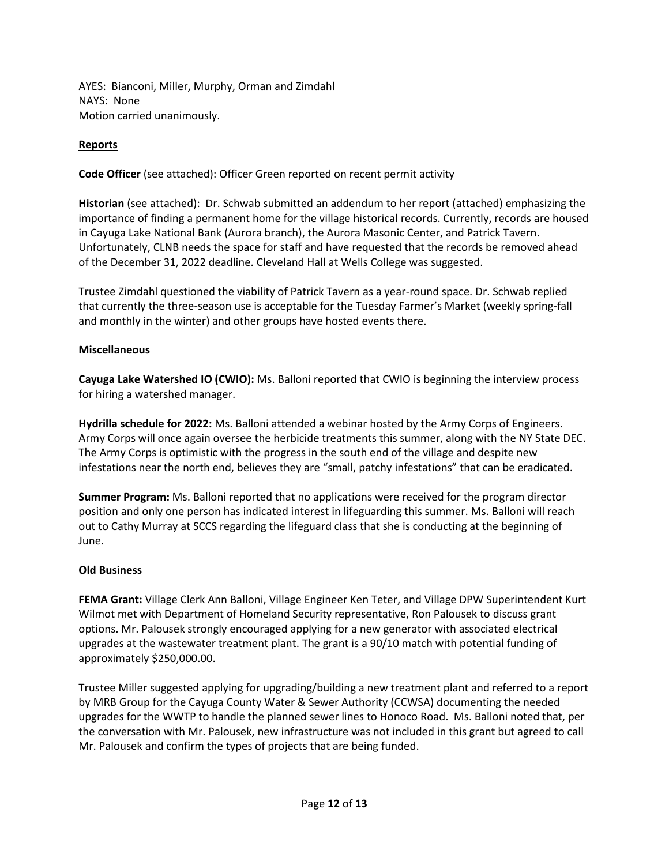AYES: Bianconi, Miller, Murphy, Orman and Zimdahl NAYS: None Motion carried unanimously.

# **Reports**

**Code Officer** (see attached): Officer Green reported on recent permit activity

**Historian** (see attached): Dr. Schwab submitted an addendum to her report (attached) emphasizing the importance of finding a permanent home for the village historical records. Currently, records are housed in Cayuga Lake National Bank (Aurora branch), the Aurora Masonic Center, and Patrick Tavern. Unfortunately, CLNB needs the space for staff and have requested that the records be removed ahead of the December 31, 2022 deadline. Cleveland Hall at Wells College was suggested.

Trustee Zimdahl questioned the viability of Patrick Tavern as a year-round space. Dr. Schwab replied that currently the three-season use is acceptable for the Tuesday Farmer's Market (weekly spring-fall and monthly in the winter) and other groups have hosted events there.

### **Miscellaneous**

**Cayuga Lake Watershed IO (CWIO):** Ms. Balloni reported that CWIO is beginning the interview process for hiring a watershed manager.

**Hydrilla schedule for 2022:** Ms. Balloni attended a webinar hosted by the Army Corps of Engineers. Army Corps will once again oversee the herbicide treatments this summer, along with the NY State DEC. The Army Corps is optimistic with the progress in the south end of the village and despite new infestations near the north end, believes they are "small, patchy infestations" that can be eradicated.

**Summer Program:** Ms. Balloni reported that no applications were received for the program director position and only one person has indicated interest in lifeguarding this summer. Ms. Balloni will reach out to Cathy Murray at SCCS regarding the lifeguard class that she is conducting at the beginning of June.

### **Old Business**

**FEMA Grant:** Village Clerk Ann Balloni, Village Engineer Ken Teter, and Village DPW Superintendent Kurt Wilmot met with Department of Homeland Security representative, Ron Palousek to discuss grant options. Mr. Palousek strongly encouraged applying for a new generator with associated electrical upgrades at the wastewater treatment plant. The grant is a 90/10 match with potential funding of approximately \$250,000.00.

Trustee Miller suggested applying for upgrading/building a new treatment plant and referred to a report by MRB Group for the Cayuga County Water & Sewer Authority (CCWSA) documenting the needed upgrades for the WWTP to handle the planned sewer lines to Honoco Road. Ms. Balloni noted that, per the conversation with Mr. Palousek, new infrastructure was not included in this grant but agreed to call Mr. Palousek and confirm the types of projects that are being funded.